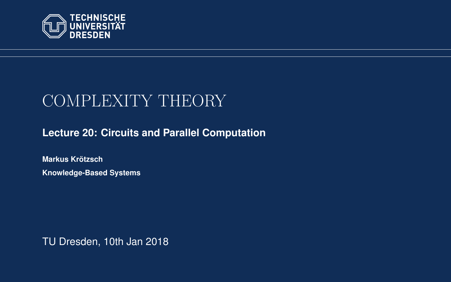<span id="page-0-0"></span>

# COMPLEXITY THEORY

### **[Lecture 20: Circuits and Parallel Computation](https://iccl.inf.tu-dresden.de/web/Complexity_Theory_(WS2017/18))**

**[Markus Krotzsch](https://iccl.inf.tu-dresden.de/web/Markus_Kr%C3%B6tzsch/en) ¨ Knowledge-Based Systems**

TU Dresden, 10th Jan 2018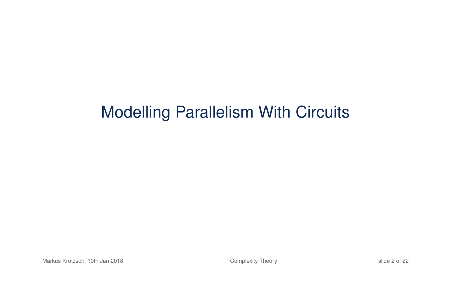# Modelling Parallelism With Circuits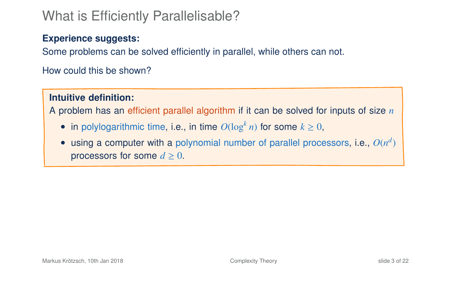### What is Efficiently Parallelisable?

### **Experience suggests:**

Some problems can be solved efficiently in parallel, while others can not.

How could this be shown?

### **Intuitive definition:**

A problem has an efficient parallel algorithm if it can be solved for inputs of size *n*

- in polylogarithmic time, i.e., in time  $O(\log^k n)$  for some  $k \geq 0$ ,
- $\bullet$  using a computer with a polynomial number of parallel processors, i.e.,  $O(n^d)$ processors for some  $d \geq 0$ .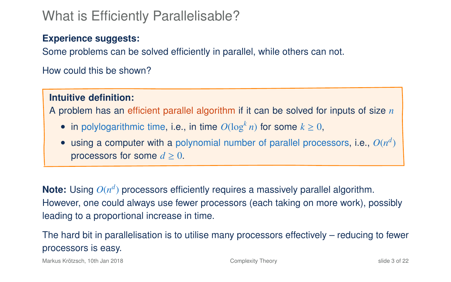### What is Efficiently Parallelisable?

### **Experience suggests:**

Some problems can be solved efficiently in parallel, while others can not.

How could this be shown?

### **Intuitive definition:**

A problem has an efficient parallel algorithm if it can be solved for inputs of size *n*

- in polylogarithmic time, i.e., in time  $O(\log^k n)$  for some  $k \geq 0$ ,
- $\bullet$  using a computer with a polynomial number of parallel processors, i.e.,  $O(n^d)$ processors for some  $d \geq 0$ .

Note: Using  $O(n^d)$  processors efficiently requires a massively parallel algorithm. However, one could always use fewer processors (each taking on more work), possibly leading to a proportional increase in time.

The hard bit in parallelisation is to utilise many processors effectively – reducing to fewer processors is easy.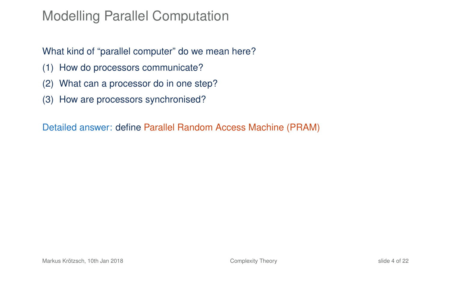### Modelling Parallel Computation

### What kind of "parallel computer" do we mean here?

- (1) How do processors communicate?
- (2) What can a processor do in one step?
- (3) How are processors synchronised?

Detailed answer: define Parallel Random Access Machine (PRAM)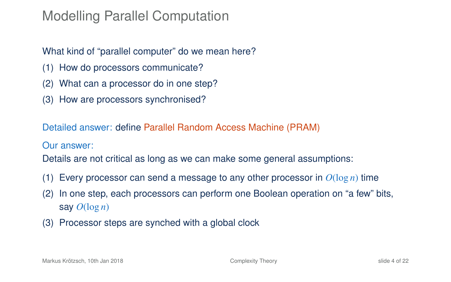### Modelling Parallel Computation

### What kind of "parallel computer" do we mean here?

- (1) How do processors communicate?
- (2) What can a processor do in one step?
- (3) How are processors synchronised?

Detailed answer: define Parallel Random Access Machine (PRAM)

Our answer:

Details are not critical as long as we can make some general assumptions:

- (1) Every processor can send a message to any other processor in  $O(\log n)$  time
- (2) In one step, each processors can perform one Boolean operation on "a few" bits, say  $O(\log n)$
- (3) Processor steps are synched with a global clock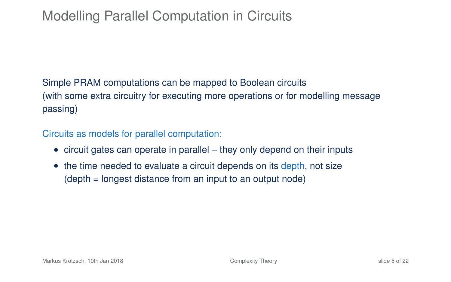# Modelling Parallel Computation in Circuits

### Simple PRAM computations can be mapped to Boolean circuits (with some extra circuitry for executing more operations or for modelling message passing)

Circuits as models for parallel computation:

- circuit gates can operate in parallel they only depend on their inputs
- the time needed to evaluate a circuit depends on its depth, not size (depth = longest distance from an input to an output node)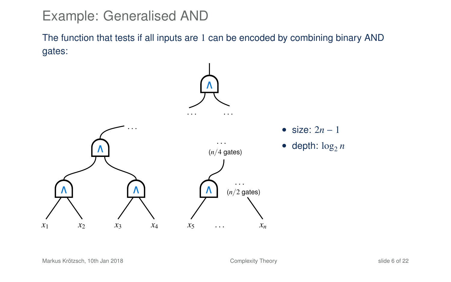# Example: Generalised AND

The function that tests if all inputs are 1 can be encoded by combining binary AND gates:

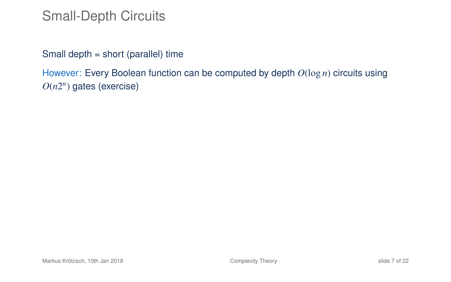### Small-Depth Circuits

Small depth = short (parallel) time

However: Every Boolean function can be computed by depth *O*(log *n*) circuits using *O*(*n*2 *n* ) gates (exercise)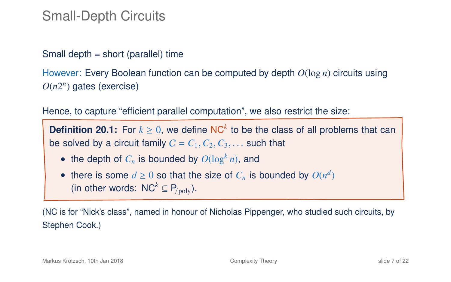### Small-Depth Circuits

#### Small depth = short (parallel) time

However: Every Boolean function can be computed by depth *O*(log *n*) circuits using *O*(*n*2 *n* ) gates (exercise)

Hence, to capture "efficient parallel computation", we also restrict the size:

**Definition 20.1:** For  $k \geq 0$ , we define NC<sup>k</sup> to be the class of all problems that can be solved by a circuit family  $C = C_1, C_2, C_3, \ldots$  such that

- the depth of  $C_n$  is bounded by  $O(\log^k n)$ , and
- there is some  $d \geq 0$  so that the size of  $C_n$  is bounded by  $O(n^d)$ (in other words:  $NC^k \subseteq P_{\text{poly}}$ ).

(NC is for "Nick's class", named in honour of Nicholas Pippenger, who studied such circuits, by Stephen Cook.)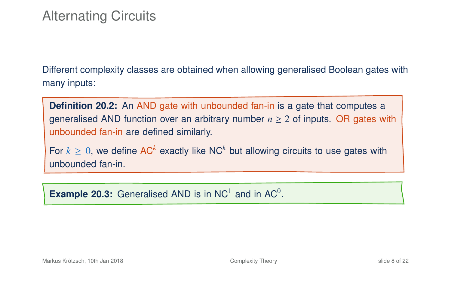Different complexity classes are obtained when allowing generalised Boolean gates with many inputs:

**Definition 20.2:** An AND gate with unbounded fan-in is a gate that computes a generalised AND function over an arbitrary number  $n \geq 2$  of inputs. OR gates with unbounded fan-in are defined similarly.

For  $k \geq 0$ , we define AC<sup>k</sup> exactly like NC<sup>k</sup> but allowing circuits to use gates with unbounded fan-in.

**Example 20.3:** Generalised AND is in NC<sup>1</sup> and in AC<sup>0</sup>.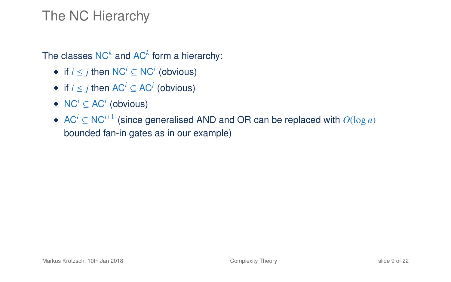### The NC Hierarchy

The classes  $NC^k$  and  $AC^k$  form a hierarchy:

- if *i* ≤ *j* then NC*<sup>i</sup>* ⊆ NC*<sup>j</sup>* (obvious)
- if  $i \leq j$  then  $AC^i \subseteq AC^j$  (obvious)
- $NC^i \subseteq AC^i$  (obvious)
- AC*<sup>i</sup>* ⊆ NC*i*+<sup>1</sup> (since generalised AND and OR can be replaced with *O*(log *n*) bounded fan-in gates as in our example)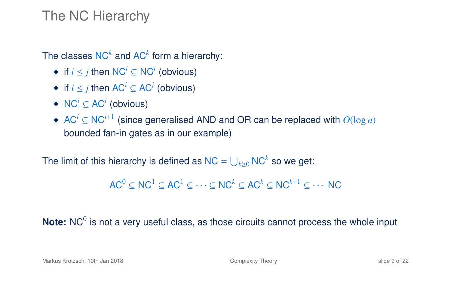### The NC Hierarchy

The classes  $NC^k$  and  $AC^k$  form a hierarchy:

- if *i* ≤ *j* then NC*<sup>i</sup>* ⊆ NC*<sup>j</sup>* (obvious)
- if  $i \leq j$  then  $AC^i \subseteq AC^j$  (obvious)
- $NC^i \subseteq AC^i$  (obvious)
- AC*<sup>i</sup>* ⊆ NC*i*+<sup>1</sup> (since generalised AND and OR can be replaced with *O*(log *n*) bounded fan-in gates as in our example)

The limit of this hierarchy is defined as NC =  $\bigcup_{k\geq0}$  NC $^k$  so we get:

 $AC^0 \subset NC^1 \subset AC^1 \subset \cdots \subset NC^k \subset AC^k \subset NC^{k+1} \subset \cdots NC$ 

Note: NC<sup>0</sup> is not a very useful class, as those circuits cannot process the whole input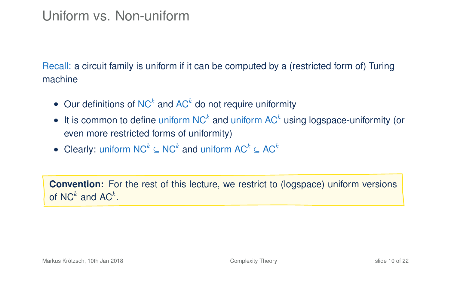# Uniform vs. Non-uniform

Recall: a circuit family is uniform if it can be computed by a (restricted form of) Turing machine

- Our definitions of NC*<sup>k</sup>* and AC*<sup>k</sup>* do not require uniformity
- It is common to define uniform NC*<sup>k</sup>* and uniform AC*<sup>k</sup>* using logspace-uniformity (or even more restricted forms of uniformity)
- Clearly: uniform NC*<sup>k</sup>* ⊆ NC*<sup>k</sup>* and uniform AC*<sup>k</sup>* ⊆ AC*<sup>k</sup>*

**Convention:** For the rest of this lecture, we restrict to (logspace) uniform versions of NC<sup> $k$ </sup> and AC<sup> $k$ </sup>.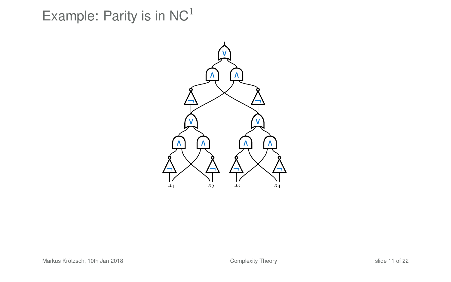Example: Parity is in  $NC<sup>1</sup>$ 

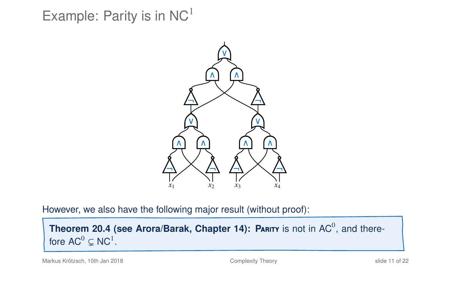Example: Parity is in  $NC<sup>1</sup>$ 



However, we also have the following major result (without proof):

**Theorem 20.4 (see Arora/Barak, Chapter 14): PARITY is not in**  $AC^0$ **, and there**fore  $AC^0 \subsetneq NC^1$ .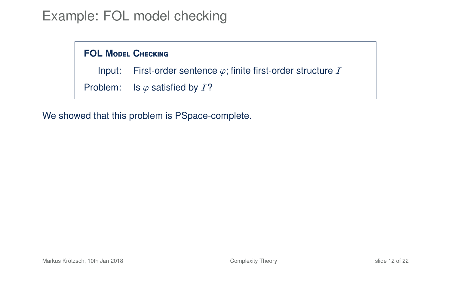## Example: FOL model checking

# **FOL MODEL CHECKING** Input: First-order sentence  $\varphi$ ; finite first-order structure *I*<br>Problem: Is  $\varphi$  satisfied by *I*? Is  $\varphi$  satisfied by  $I$ ?

We showed that this problem is PSpace-complete.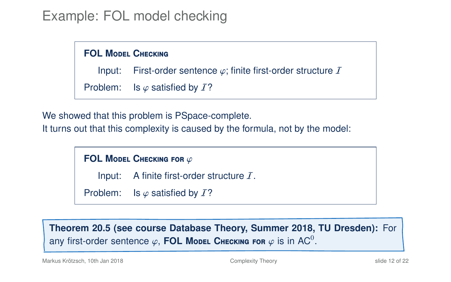# Example: FOL model checking

#### **FOL MODEL CHECKING**

Input: First-order sentence  $\varphi$ ; finite first-order structure *I*<br>Problem: Is  $\varphi$  satisfied by *I*?

Is  $\varphi$  satisfied by  $I$ ?

We showed that this problem is PSpace-complete.

It turns out that this complexity is caused by the formula, not by the model:

**FOL MODEL CHECKING FOR φ**<br>Input: A finite first-org

A finite first-order structure  $I$ .

Problem: Is  $\varphi$  satisfied by  $I$ ?

**Theorem 20.5 (see course Database Theory, Summer 2018, TU Dresden):** For any first-order sentence  $\varphi$ , **FOL Model Checking for**  $\varphi$  is in AC<sup>0</sup>.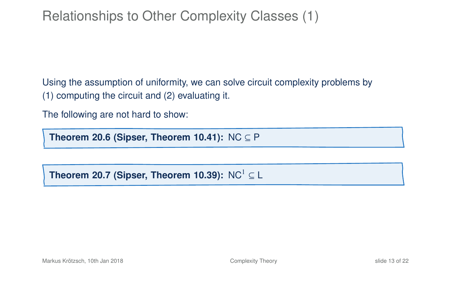# Relationships to Other Complexity Classes (1)

Using the assumption of uniformity, we can solve circuit complexity problems by (1) computing the circuit and (2) evaluating it.

The following are not hard to show:

**Theorem 20.6 (Sipser, Theorem 10.41):** NC ⊆ P

**Theorem 20.7 (Sipser, Theorem 10.39):** NC<sup>1</sup>  $\subset$  L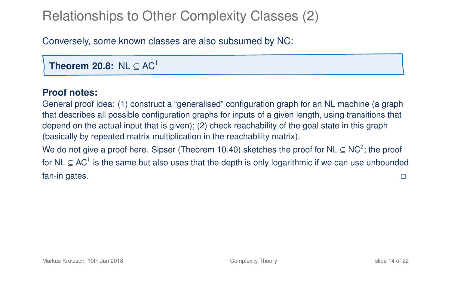# Relationships to Other Complexity Classes (2)

Conversely, some known classes are also subsumed by NC:

**Theorem 20.8:** NL  $\subset AC<sup>1</sup>$ 

#### **Proof notes:**

General proof idea: (1) construct a "generalised" configuration graph for an NL machine (a graph that describes all possible configuration graphs for inputs of a given length, using transitions that depend on the actual input that is given); (2) check reachability of the goal state in this graph (basically by repeated matrix multiplication in the reachability matrix).

We do not give a proof here. Sipser (Theorem 10.40) sketches the proof for NL  $\subseteq$  NC<sup>2</sup>; the proof for NL  $\subseteq$  AC<sup>1</sup> is the same but also uses that the depth is only logarithmic if we can use unbounded fan-in gates.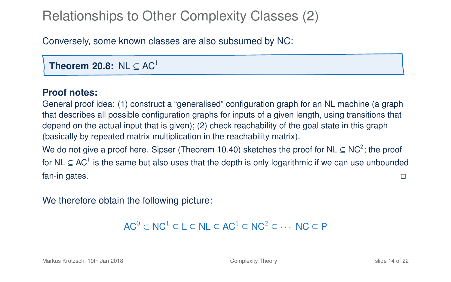# Relationships to Other Complexity Classes (2)

Conversely, some known classes are also subsumed by NC:

**Theorem 20.8:** NL  $\subset AC<sup>1</sup>$ 

#### **Proof notes:**

General proof idea: (1) construct a "generalised" configuration graph for an NL machine (a graph that describes all possible configuration graphs for inputs of a given length, using transitions that depend on the actual input that is given); (2) check reachability of the goal state in this graph (basically by repeated matrix multiplication in the reachability matrix).

We do not give a proof here. Sipser (Theorem 10.40) sketches the proof for NL  $\subseteq$  NC<sup>2</sup>; the proof for NL  $\subseteq$  AC<sup>1</sup> is the same but also uses that the depth is only logarithmic if we can use unbounded fan-in gates.

We therefore obtain the following picture:

```
AC^0 \subset NC<sup>1</sup> \subset I \subset NI \subset AC<sup>1</sup> \subset NC<sup>2</sup> \subset \cdots NC \subset P
```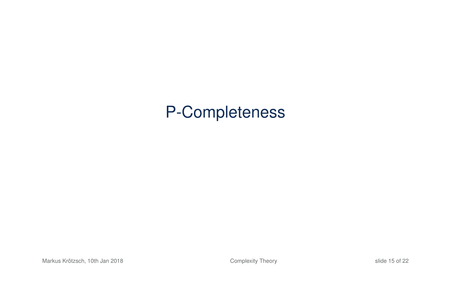# P-Completeness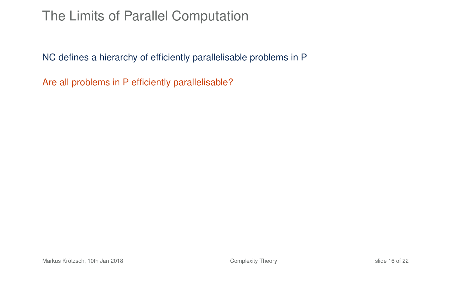### The Limits of Parallel Computation

NC defines a hierarchy of efficiently parallelisable problems in P

Are all problems in P efficiently parallelisable?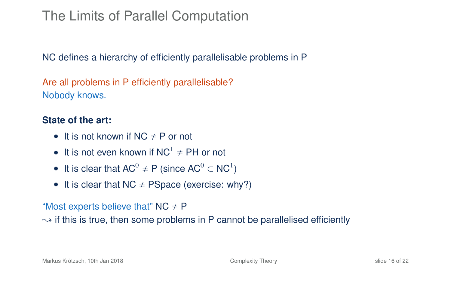# The Limits of Parallel Computation

NC defines a hierarchy of efficiently parallelisable problems in P

Are all problems in P efficiently parallelisable? Nobody knows.

#### **State of the art:**

- It is not known if  $NC \neq P$  or not
- It is not even known if  $NC^1 \neq PH$  or not
- It is clear that  $AC^0 \neq P$  (since  $AC^0 \subset NC^1$ )
- It is clear that  $NC \neq PSpace$  (exercise: why?)

#### "Most experts believe that"  $NC \neq P$

 $\rightarrow$  if this is true, then some problems in P cannot be parallelised efficiently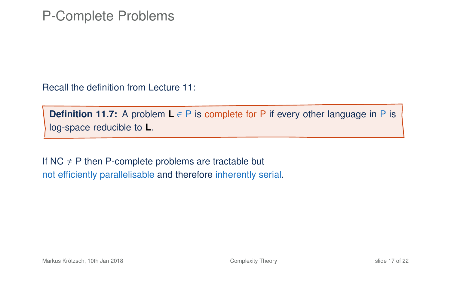### P-Complete Problems

Recall the definition from Lecture 11:

**Definition 11.7:** A problem **L** ∈ P is complete for P if every other language in P is log-space reducible to **L**.

If NC  $\neq$  P then P-complete problems are tractable but not efficiently parallelisable and therefore inherently serial.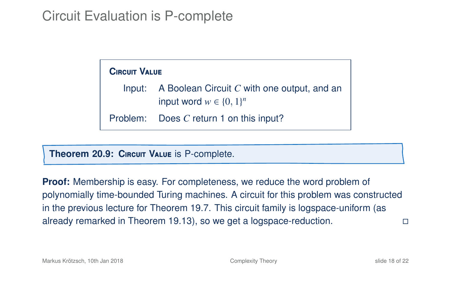### Circuit Evaluation is P-complete

| <b>CIRCUIT VALUE</b> |                                                                                       |
|----------------------|---------------------------------------------------------------------------------------|
|                      | Input: A Boolean Circuit $C$ with one output, and an<br>input word $w \in \{0, 1\}^n$ |
|                      | Problem: Does C return 1 on this input?                                               |

**Theorem 20.9: C**ircuit **V**alue is P-complete.

**Proof:** Membership is easy. For completeness, we reduce the word problem of polynomially time-bounded Turing machines. A circuit for this problem was constructed in the previous lecture for Theorem 19.7. This circuit family is logspace-uniform (as already remarked in Theorem 19.13), so we get a logspace-reduction.

Markus Krötzsch, 10th Jan 2018 [Complexity Theory](#page-0-0) Share Complexity Theory Share Share Share Share Share Share Share Share Share Share Share Share Share Share Share Share Share Share Share Share Share Share Share Share Share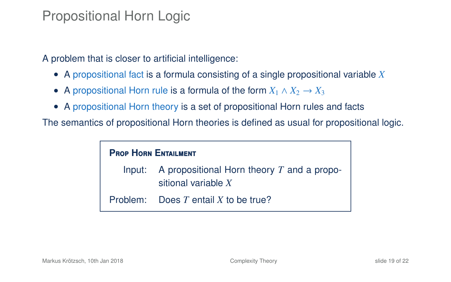### Propositional Horn Logic

A problem that is closer to artificial intelligence:

- A propositional fact is a formula consisting of a single propositional variable *X*
- A propositional Horn rule is a formula of the form  $X_1 \wedge X_2 \rightarrow X_3$
- A propositional Horn theory is a set of propositional Horn rules and facts

The semantics of propositional Horn theories is defined as usual for propositional logic.

### **PROP HORN ENTAILMENT**

Input: A propositional Horn theory *T* and a propositional variable *X*

Problem: Does *T* entail *X* to be true?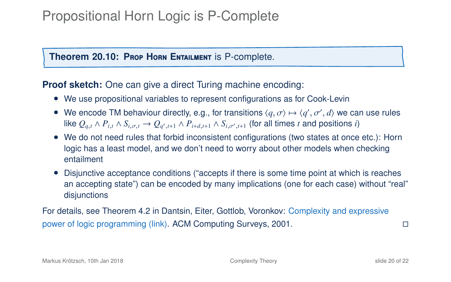# Propositional Horn Logic is P-Complete

#### **Theorem 20.10: PROP HORN ENTAILMENT IS P-complete.**

#### **Proof sketch:** One can give a direct Turing machine encoding:

- We use propositional variables to represent configurations as for Cook-Levin
- We encode TM behaviour directly, e.g., for transitions  $\langle q, \sigma \rangle \mapsto \langle q', \sigma', d \rangle$  we can use rules<br>like  $Q \wedge P$ ,  $\wedge S$ ,  $\longrightarrow Q$ ,  $\wedge P$ ,  $\wedge \wedge S$ ,  $\longrightarrow$  (for all times t and positions *i*) We encode TW behaviour directly, e.g., for transitions  $\langle q, \sigma \rangle \mapsto \langle q', \sigma', a \rangle$  we call<br>like  $Q_{q,t} \wedge P_{i,t} \wedge S_{i,\sigma,t} \to Q_{q',t+1} \wedge P_{i+d,t+1} \wedge S_{i,\sigma',t+1}$  (for all times t and positions i)
- We do not need rules that forbid inconsistent configurations (two states at once etc.): Horn logic has a least model, and we don't need to worry about other models when checking entailment
- Disjunctive acceptance conditions ("accepts if there is some time point at which is reaches an accepting state") can be encoded by many implications (one for each case) without "real" disjunctions

For details, see Theorem 4.2 in Dantsin, Eiter, Gottlob, Voronkov: [Complexity and expressive](http://cmpe.emu.edu.tr/bayram/courses/531/forpresentation/p374-dantsin.pdf) [power of logic programming](http://cmpe.emu.edu.tr/bayram/courses/531/forpresentation/p374-dantsin.pdf) (link). ACM Computing Surveys, 2001.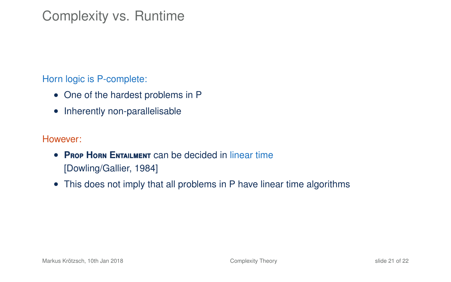# Complexity vs. Runtime

Horn logic is P-complete:

- One of the hardest problems in P
- Inherently non-parallelisable

#### However:

- **P**rop **H**orn **E**ntailment can be decided in linear time [Dowling/Gallier, 1984]
- This does not imply that all problems in P have linear time algorithms